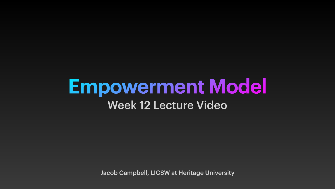# **Empowerment Model** Week 12 Lecture Video

Jacob Campbell, LICSW at Heritage University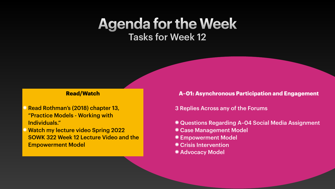## **Agenda for the Week** Tasks for Week 12

#### **Read/Watch**

Read Rothman's (2018) chapter 13, "Practice Models - Working with Individuals." **\* Watch my lecture video Spring 2022** SOWK 322 Week 12 Lecture Video and the Empowerment Model

Questions Regarding A–04 Social Media Assignment Case Management Model Empowerment Model Crisis Intervention \* Advocacy Model

**A–01: Asynchronous Participation and Engagement**

3 Replies Across any of the Forums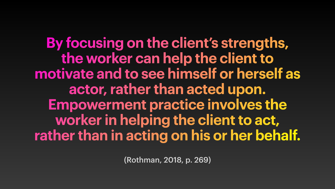(Rothman, 2018, p. 269)

**By focusing on the client's strengths, the worker can help the client to motivate and to see himself or herself as actor, rather than acted upon. Empowerment practice involves the worker in helping the client to act, rather than in acting on his or her behalf.**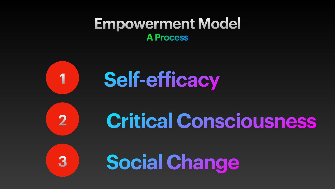### **Empowerment Model A Process**

**1**

**2**



**Self-efficacy**

# **Critical Consciousness**

**Social Change**

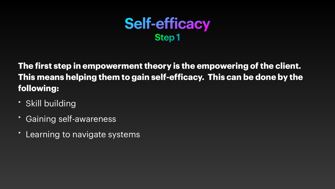## **Self-efficacy Step 1**

- ‣ Skill building
- ‣ Gaining self-awareness
- Learning to navigate systems

#### **The first step in empowerment theory is the empowering of the client. This means helping them to gain self-efficacy. This can be done by the following:**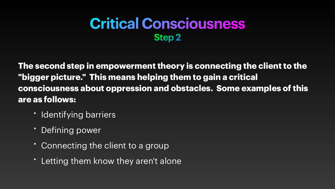# **Critical Consciousness Step 2**

**The second step in empowerment theory is connecting the client to the "bigger picture." This means helping them to gain a critical consciousness about oppression and obstacles. Some examples of this are as follows:**

- ‣ Identifying barriers
- ‣ Defining power
- ‣ Connecting the client to a group
- ‣ Letting them know they aren't alone